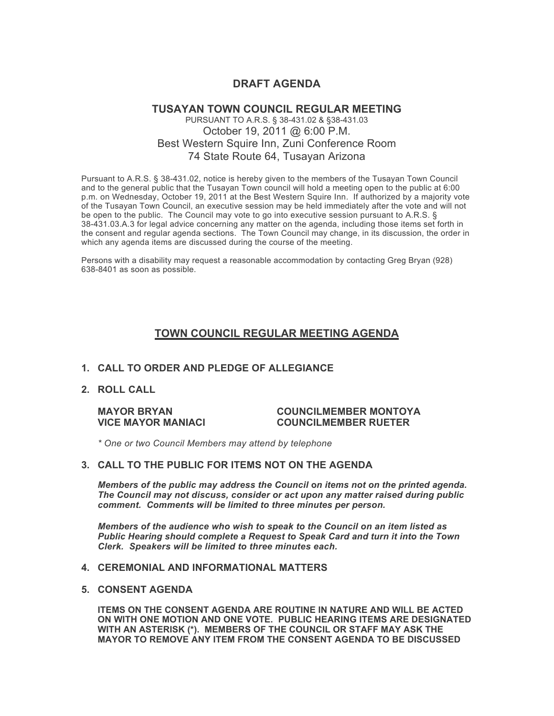# **DRAFT AGENDA**

# **TUSAYAN TOWN COUNCIL REGULAR MEETING** PURSUANT TO A.R.S. § 38-431.02 & §38-431.03 October 19, 2011 @ 6:00 P.M. Best Western Squire Inn, Zuni Conference Room 74 State Route 64, Tusayan Arizona

Pursuant to A.R.S. § 38-431.02, notice is hereby given to the members of the Tusayan Town Council and to the general public that the Tusayan Town council will hold a meeting open to the public at 6:00 p.m. on Wednesday, October 19, 2011 at the Best Western Squire Inn. If authorized by a majority vote of the Tusayan Town Council, an executive session may be held immediately after the vote and will not be open to the public. The Council may vote to go into executive session pursuant to A.R.S. § 38-431.03.A.3 for legal advice concerning any matter on the agenda, including those items set forth in the consent and regular agenda sections. The Town Council may change, in its discussion, the order in which any agenda items are discussed during the course of the meeting.

Persons with a disability may request a reasonable accommodation by contacting Greg Bryan (928) 638-8401 as soon as possible.

# **TOWN COUNCIL REGULAR MEETING AGENDA**

#### **1. CALL TO ORDER AND PLEDGE OF ALLEGIANCE**

**2. ROLL CALL**

#### **MAYOR BRYAN COUNCILMEMBER MONTOYA VICE MAYOR MANIACI COUNCILMEMBER RUETER**

*\* One or two Council Members may attend by telephone*

#### **3. CALL TO THE PUBLIC FOR ITEMS NOT ON THE AGENDA**

*Members of the public may address the Council* **o***n items not on the printed agenda. The Council may not discuss, consider or act upon any matter raised during public comment. Comments will be limited to three minutes per person.*

*Members of the audience who wish to speak to the Council on an item listed as Public Hearing should complete a Request to Speak Card and turn it into the Town Clerk. Speakers will be limited to three minutes each.*

# **4. CEREMONIAL AND INFORMATIONAL MATTERS**

#### **5. CONSENT AGENDA**

**ITEMS ON THE CONSENT AGENDA ARE ROUTINE IN NATURE AND WILL BE ACTED ON WITH ONE MOTION AND ONE VOTE. PUBLIC HEARING ITEMS ARE DESIGNATED WITH AN ASTERISK (\*). MEMBERS OF THE COUNCIL OR STAFF MAY ASK THE MAYOR TO REMOVE ANY ITEM FROM THE CONSENT AGENDA TO BE DISCUSSED**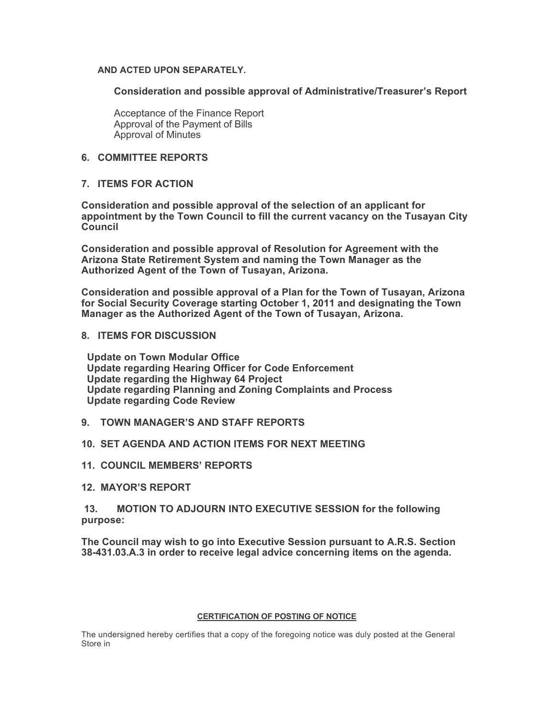### **AND ACTED UPON SEPARATELY.**

**Consideration and possible approval of Administrative/Treasurer's Report**

Acceptance of the Finance Report Approval of the Payment of Bills Approval of Minutes

# **6. COMMITTEE REPORTS**

# **7. ITEMS FOR ACTION**

**Consideration and possible approval of the selection of an applicant for appointment by the Town Council to fill the current vacancy on the Tusayan City Council**

**Consideration and possible approval of Resolution for Agreement with the Arizona State Retirement System and naming the Town Manager as the Authorized Agent of the Town of Tusayan, Arizona.**

**Consideration and possible approval of a Plan for the Town of Tusayan, Arizona for Social Security Coverage starting October 1, 2011 and designating the Town Manager as the Authorized Agent of the Town of Tusayan, Arizona.** 

# **8. ITEMS FOR DISCUSSION**

 **Update on Town Modular Office Update regarding Hearing Officer for Code Enforcement Update regarding the Highway 64 Project Update regarding Planning and Zoning Complaints and Process Update regarding Code Review**

**9. TOWN MANAGER'S AND STAFF REPORTS**

# **10. SET AGENDA AND ACTION ITEMS FOR NEXT MEETING**

**11. COUNCIL MEMBERS' REPORTS**

# **12. MAYOR'S REPORT**

# **13. MOTION TO ADJOURN INTO EXECUTIVE SESSION for the following purpose:**

**The Council may wish to go into Executive Session pursuant to A.R.S. Section 38-431.03.A.3 in order to receive legal advice concerning items on the agenda.**

#### **CERTIFICATION OF POSTING OF NOTICE**

The undersigned hereby certifies that a copy of the foregoing notice was duly posted at the General Store in